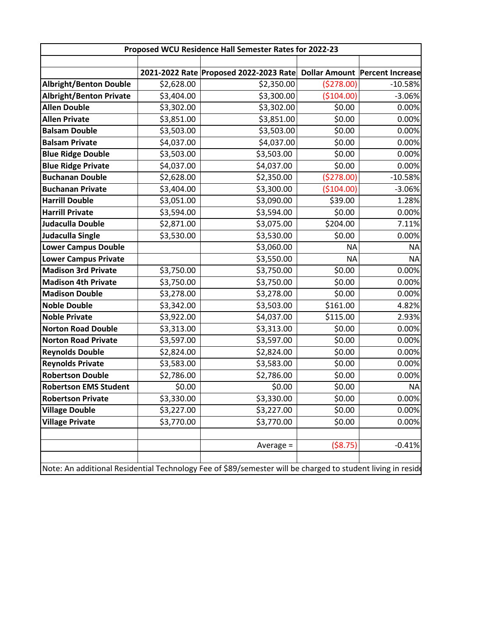| Proposed WCU Residence Hall Semester Rates for 2022-23 |            |                                                                       |            |           |
|--------------------------------------------------------|------------|-----------------------------------------------------------------------|------------|-----------|
|                                                        |            | 2021-2022 Rate Proposed 2022-2023 Rate Dollar Amount Percent Increase |            |           |
| <b>Albright/Benton Double</b>                          | \$2,628.00 | \$2,350.00                                                            | (5278.00)  | $-10.58%$ |
| <b>Albright/Benton Private</b>                         | \$3,404.00 | \$3,300.00                                                            | (\$104.00) | $-3.06%$  |
| <b>Allen Double</b>                                    | \$3,302.00 | \$3,302.00                                                            | \$0.00     | 0.00%     |
| <b>Allen Private</b>                                   | \$3,851.00 | \$3,851.00                                                            | \$0.00     | 0.00%     |
| <b>Balsam Double</b>                                   | \$3,503.00 | \$3,503.00                                                            | \$0.00     | 0.00%     |
| <b>Balsam Private</b>                                  | \$4,037.00 | \$4,037.00                                                            | \$0.00     | 0.00%     |
| <b>Blue Ridge Double</b>                               | \$3,503.00 | \$3,503.00                                                            | \$0.00     | 0.00%     |
| <b>Blue Ridge Private</b>                              | \$4,037.00 | \$4,037.00                                                            | \$0.00     | 0.00%     |
| <b>Buchanan Double</b>                                 | \$2,628.00 | \$2,350.00                                                            | (5278.00)  | $-10.58%$ |
| <b>Buchanan Private</b>                                | \$3,404.00 | \$3,300.00                                                            | (\$104.00) | $-3.06%$  |
| <b>Harrill Double</b>                                  | \$3,051.00 | \$3,090.00                                                            | \$39.00    | 1.28%     |
| <b>Harrill Private</b>                                 | \$3,594.00 | \$3,594.00                                                            | \$0.00     | 0.00%     |
| <b>Judaculla Double</b>                                | \$2,871.00 | \$3,075.00                                                            | \$204.00   | 7.11%     |
| <b>Judaculla Single</b>                                | \$3,530.00 | \$3,530.00                                                            | \$0.00     | 0.00%     |
| Lower Campus Double                                    |            | \$3,060.00                                                            | <b>NA</b>  | <b>NA</b> |
| <b>Lower Campus Private</b>                            |            | \$3,550.00                                                            | <b>NA</b>  | <b>NA</b> |
| <b>Madison 3rd Private</b>                             | \$3,750.00 | \$3,750.00                                                            | \$0.00     | 0.00%     |
| <b>Madison 4th Private</b>                             | \$3,750.00 | \$3,750.00                                                            | \$0.00     | 0.00%     |
| <b>Madison Double</b>                                  | \$3,278.00 | \$3,278.00                                                            | \$0.00     | 0.00%     |
| <b>Noble Double</b>                                    | \$3,342.00 | \$3,503.00                                                            | \$161.00   | 4.82%     |
| <b>Noble Private</b>                                   | \$3,922.00 | \$4,037.00                                                            | \$115.00   | 2.93%     |
| <b>Norton Road Double</b>                              | \$3,313.00 | \$3,313.00                                                            | \$0.00     | 0.00%     |
| <b>Norton Road Private</b>                             | \$3,597.00 | \$3,597.00                                                            | \$0.00     | 0.00%     |
| <b>Reynolds Double</b>                                 | \$2,824.00 | \$2,824.00                                                            | \$0.00     | 0.00%     |
| <b>Reynolds Private</b>                                | \$3,583.00 | \$3,583.00                                                            | \$0.00     | 0.00%     |
| <b>Robertson Double</b>                                | \$2,786.00 | \$2,786.00                                                            | \$0.00     | 0.00%     |
| <b>Robertson EMS Student</b>                           | \$0.00     | \$0.00                                                                | \$0.00     | <b>NA</b> |
| <b>Robertson Private</b>                               | \$3,330.00 | \$3,330.00                                                            | \$0.00     | 0.00%     |
| <b>Village Double</b>                                  | \$3,227.00 | \$3,227.00                                                            | \$0.00     | 0.00%     |
| <b>Village Private</b>                                 | \$3,770.00 | \$3,770.00                                                            | \$0.00     | 0.00%     |
|                                                        |            | Average $=$                                                           | ( \$8.75)  | $-0.41%$  |